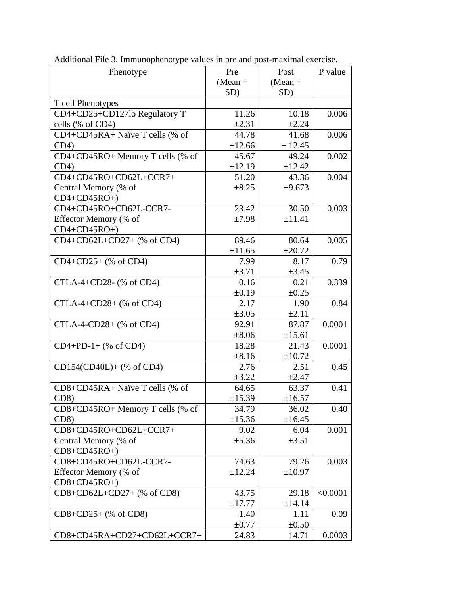| Phenotype                         | Pre         | Post        | P value  |
|-----------------------------------|-------------|-------------|----------|
|                                   | $(Mean +$   | $(Mean +$   |          |
|                                   | SD)         | SD)         |          |
| T cell Phenotypes                 |             |             |          |
| CD4+CD25+CD127lo Regulatory T     | 11.26       | 10.18       | 0.006    |
| cells (% of CD4)                  | $\pm 2.31$  | ±2.24       |          |
| CD4+CD45RA+ Naïve T cells (% of   | 44.78       | 41.68       | 0.006    |
| CD4)                              | ±12.66      | ± 12.45     |          |
| CD4+CD45RO+ Memory T cells (% of  | 45.67       | 49.24       | 0.002    |
| CD4)                              | ±12.19      | ±12.42      |          |
| CD4+CD45RO+CD62L+CCR7+            | 51.20       | 43.36       | 0.004    |
| Central Memory (% of              | $\pm 8.25$  | ±9.673      |          |
| $CD4+CD45RO+$                     |             |             |          |
| CD4+CD45RO+CD62L-CCR7-            | 23.42       | 30.50       | 0.003    |
| Effector Memory (% of             | ±7.98       | ±11.41      |          |
| $CD4+CD45RO+$                     |             |             |          |
| CD4+CD62L+CD27+ (% of CD4)        | 89.46       | 80.64       | 0.005    |
|                                   | ±11.65      | ±20.72      |          |
| CD4+CD25+ (% of CD4)              | 7.99        | 8.17        | 0.79     |
|                                   | $\pm 3.71$  | $\pm 3.45$  |          |
| CTLA-4+CD28- (% of CD4)           | 0.16        | 0.21        | 0.339    |
|                                   | $\pm 0.19$  | $\pm 0.25$  |          |
| CTLA-4+CD28+ (% of CD4)           | 2.17        | 1.90        | 0.84     |
|                                   | $\pm 3.05$  | $\pm 2.11$  |          |
| CTLA-4-CD28+ (% of CD4)           | 92.91       | 87.87       | 0.0001   |
|                                   | $\pm 8.06$  | ±15.61      |          |
| $CD4+PD-1+(% of CD4)$             | 18.28       | 21.43       | 0.0001   |
|                                   | $\pm 8.16$  | $\pm 10.72$ |          |
| CD154(CD40L)+ (% of CD4)          | 2.76        | 2.51        | 0.45     |
|                                   | $\pm 3.22$  | $\pm 2.47$  |          |
| CD8+CD45RA+ Naïve T cells (% of   | 64.65       | 63.37       | 0.41     |
| CD8)                              | ±15.39      | ±16.57      |          |
| CD8+CD45RO+ Memory T cells (% of  | 34.79       | 36.02       | 0.40     |
| CD8                               | ±15.36      | ±16.45      |          |
| CD8+CD45RO+CD62L+CCR7+            | 9.02        | 6.04        | 0.001    |
| Central Memory (% of              | $\pm$ 5.36  | $\pm 3.51$  |          |
| $CD8+CD45RO+$                     |             |             |          |
| CD8+CD45RO+CD62L-CCR7-            | 74.63       | 79.26       | 0.003    |
| Effector Memory (% of             | ±12.24      | $\pm 10.97$ |          |
| $CD8 + CD45RO +$                  |             |             |          |
| $CD8 + CD62L + CD27 +$ (% of CD8) | 43.75       | 29.18       | < 0.0001 |
|                                   | $\pm$ 17.77 | ±14.14      |          |
| $CD8 + CD25 +$ (% of CD8)         | 1.40        | 1.11        | 0.09     |
|                                   | $\pm 0.77$  | $\pm 0.50$  |          |
| CD8+CD45RA+CD27+CD62L+CCR7+       | 24.83       | 14.71       | 0.0003   |

Additional File 3. Immunophenotype values in pre and post-maximal exercise.